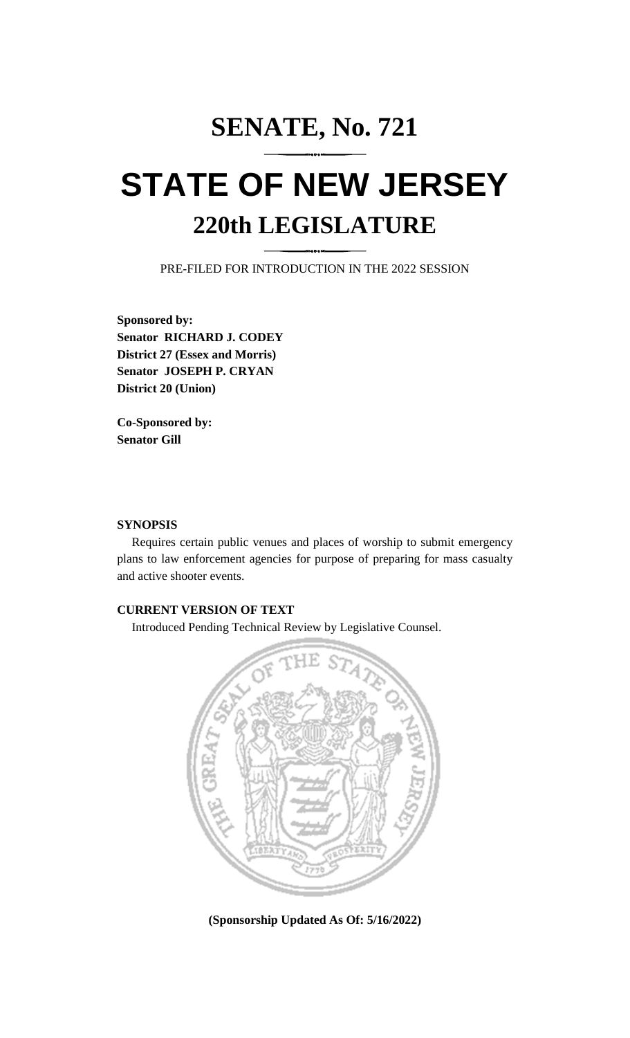## **SENATE, No. 721 STATE OF NEW JERSEY 220th LEGISLATURE**

PRE-FILED FOR INTRODUCTION IN THE 2022 SESSION

**Sponsored by: Senator RICHARD J. CODEY District 27 (Essex and Morris) Senator JOSEPH P. CRYAN District 20 (Union)**

**Co-Sponsored by: Senator Gill**

## **SYNOPSIS**

Requires certain public venues and places of worship to submit emergency plans to law enforcement agencies for purpose of preparing for mass casualty and active shooter events.

## **CURRENT VERSION OF TEXT**

Introduced Pending Technical Review by Legislative Counsel.



**(Sponsorship Updated As Of: 5/16/2022)**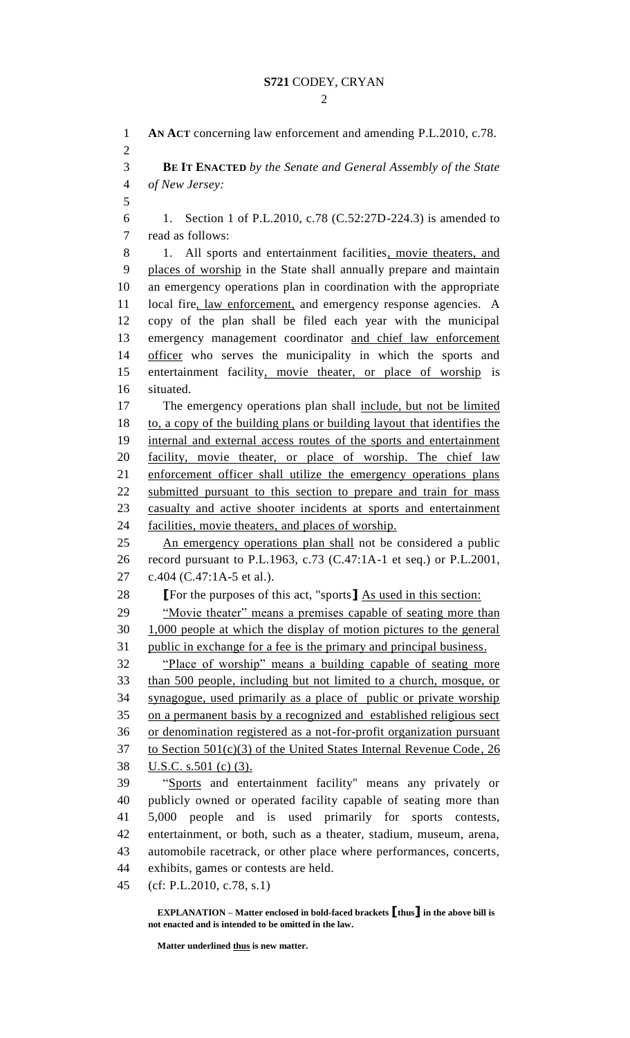**AN ACT** concerning law enforcement and amending P.L.2010, c.78. **BE IT ENACTED** *by the Senate and General Assembly of the State of New Jersey:* 1. Section 1 of P.L.2010, c.78 (C.52:27D-224.3) is amended to read as follows: 8 1. All sports and entertainment facilities, movie theaters, and places of worship in the State shall annually prepare and maintain an emergency operations plan in coordination with the appropriate local fire, law enforcement, and emergency response agencies. A copy of the plan shall be filed each year with the municipal emergency management coordinator and chief law enforcement 14 officer who serves the municipality in which the sports and entertainment facility, movie theater, or place of worship is situated. The emergency operations plan shall include, but not be limited to, a copy of the building plans or building layout that identifies the internal and external access routes of the sports and entertainment 20 facility, movie theater, or place of worship. The chief law enforcement officer shall utilize the emergency operations plans 22 submitted pursuant to this section to prepare and train for mass casualty and active shooter incidents at sports and entertainment facilities, movie theaters, and places of worship. An emergency operations plan shall not be considered a public record pursuant to P.L.1963, c.73 (C.47:1A-1 et seq.) or P.L.2001, c.404 (C.47:1A-5 et al.). **[**For the purposes of this act, "sports**]** As used in this section: 29 "Movie theater" means a premises capable of seating more than 1,000 people at which the display of motion pictures to the general public in exchange for a fee is the primary and principal business. "Place of worship" means a building capable of seating more than 500 people, including but not limited to a church, mosque, or synagogue, used primarily as a place of public or private worship on a permanent basis by a recognized and established religious sect or denomination registered as a not-for-profit organization pursuant to Section 501(c)(3) of the United States Internal Revenue Code, 26 U.S.C. s.501 (c) (3). "Sports and entertainment facility" means any privately or publicly owned or operated facility capable of seating more than 5,000 people and is used primarily for sports contests, entertainment, or both, such as a theater, stadium, museum, arena, automobile racetrack, or other place where performances, concerts, exhibits, games or contests are held. (cf: P.L.2010, c.78, s.1)

**EXPLANATION – Matter enclosed in bold-faced brackets [thus] in the above bill is not enacted and is intended to be omitted in the law.**

**Matter underlined thus is new matter.**